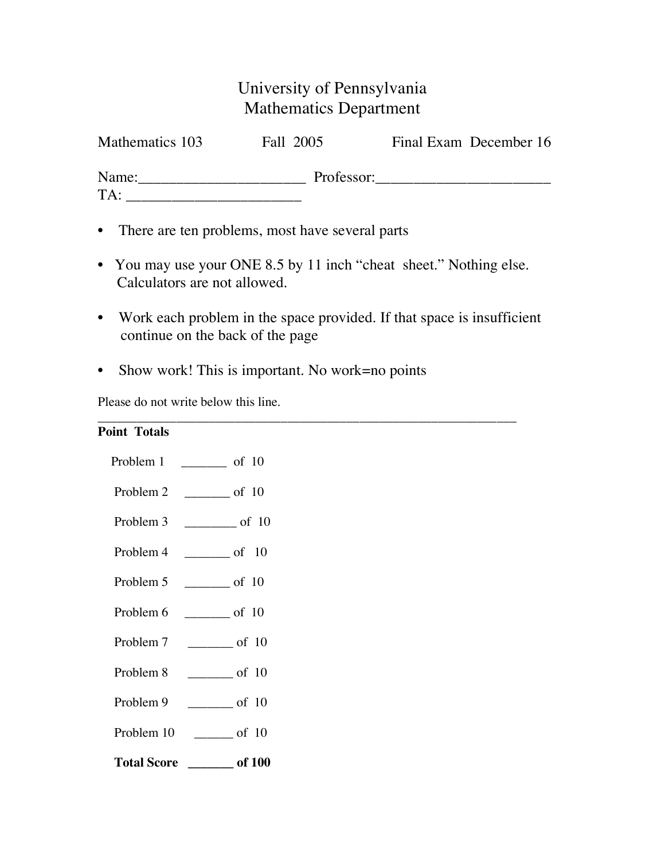## University of Pennsylvania Mathematics Department

| Mathematics 103 | Fall 2005  | Final Exam December 16 |
|-----------------|------------|------------------------|
| Name:           | Professor: |                        |
| TA:             |            |                        |

- There are ten problems, most have several parts
- You may use your ONE 8.5 by 11 inch "cheat sheet." Nothing else. Calculators are not allowed.
- Work each problem in the space provided. If that space is insufficient continue on the back of the page

\_\_\_\_\_\_\_\_\_\_\_\_\_\_\_\_\_\_\_\_\_\_\_\_\_\_\_\_\_\_\_\_\_\_\_\_\_\_\_\_\_\_\_\_\_\_\_\_\_\_\_\_\_\_\_\_\_\_\_\_\_\_\_\_

• Show work! This is important. No work=no points

Please do not write below this line.

|      | <b>Point Totals</b> |  |
|------|---------------------|--|
| T 11 |                     |  |

| Problem 1          | $\frac{1}{\sqrt{1-\frac{1}{2}} \cdot \frac{1}{2}}$ of 10 |
|--------------------|----------------------------------------------------------|
| Problem 2          | $\frac{1}{\sqrt{1-\frac{1}{2}} \cdot \frac{1}{2}}$ of 10 |
| Problem 3          | $\frac{1}{\sqrt{1-\frac{1}{2}} \cot 10}$                 |
| Problem 4          | $\frac{1}{\sqrt{1-\frac{1}{2}} \cot \theta}$ of 10       |
| Problem 5          | $\frac{\ }{}$ of 10                                      |
| Problem 6          | $\frac{\ }{}$ of 10                                      |
| Problem 7          | $\frac{\ }{}$ of 10                                      |
| Problem 8          | $\frac{1}{\sqrt{1-\frac{1}{2}}}\circ f$ 10               |
| Problem 9          | $\sim$ of 10                                             |
| Problem 10         | $\frac{1}{\sqrt{1-\frac{1}{2}} \cot 10}$                 |
| <b>Total Score</b> | $\frac{1}{\sqrt{100}}$ of 100                            |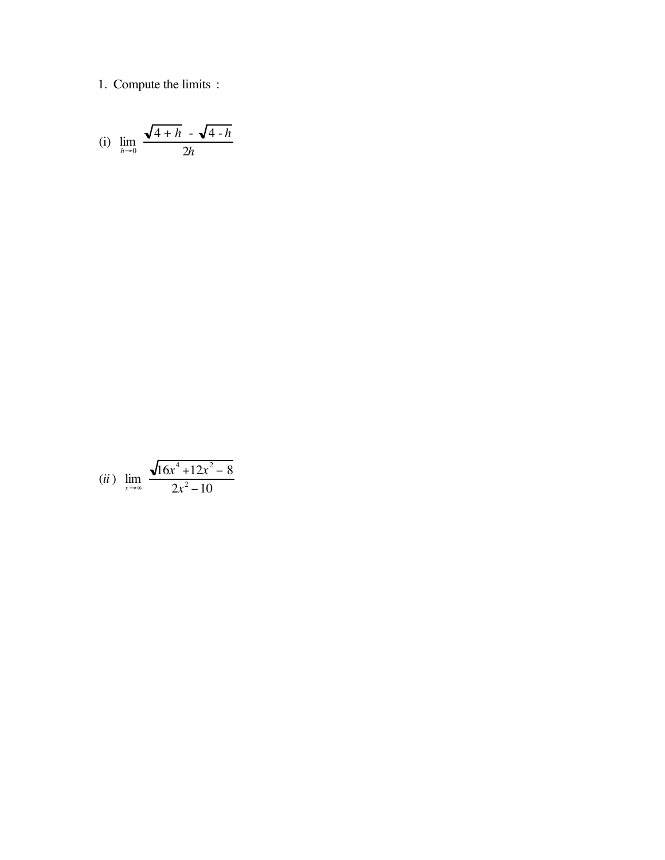## 1. Compute the limits :

(i) 
$$
\lim_{h \to 0} \frac{\sqrt{4+h} - \sqrt{4-h}}{2h}
$$

(*ii*) 
$$
\lim_{x \to \infty} \frac{\sqrt{16x^4 + 12x^2 - 8}}{2x^2 - 10}
$$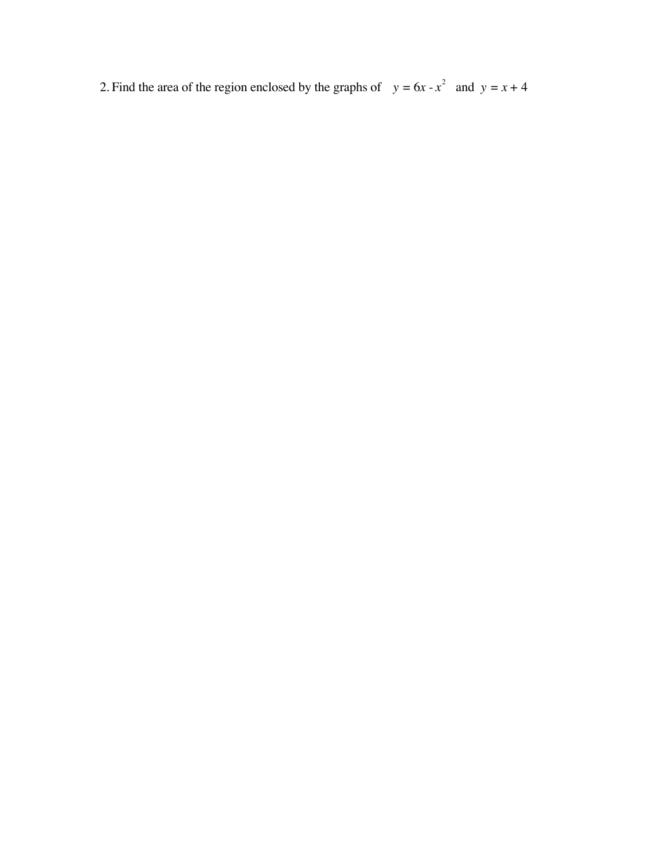2. Find the area of the region enclosed by the graphs of  $y = 6x - x^2$  and  $y = x + 4$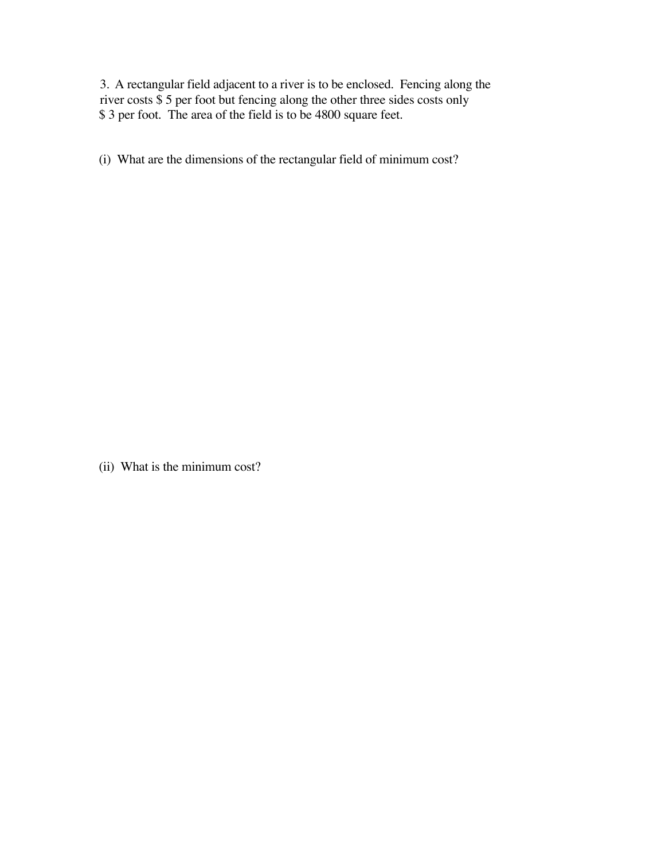3. A rectangular field adjacent to a river is to be enclosed. Fencing along the river costs \$ 5 per foot but fencing along the other three sides costs only \$ 3 per foot. The area of the field is to be 4800 square feet.

(i) What are the dimensions of the rectangular field of minimum cost?

(ii) What is the minimum cost?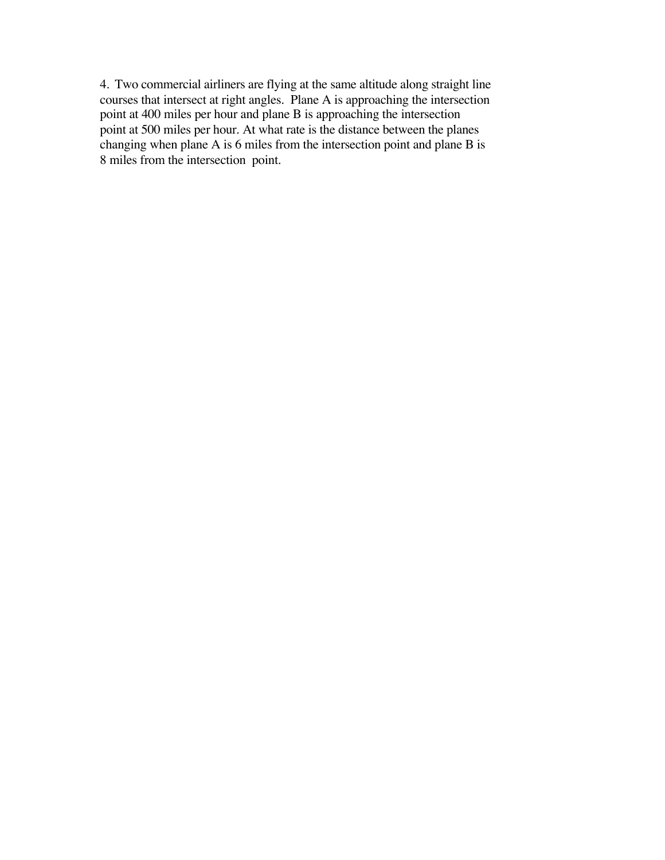4. Two commercial airliners are flying at the same altitude along straight line courses that intersect at right angles. Plane A is approaching the intersection point at 400 miles per hour and plane B is approaching the intersection point at 500 miles per hour. At what rate is the distance between the planes changing when plane A is 6 miles from the intersection point and plane B is 8 miles from the intersection point.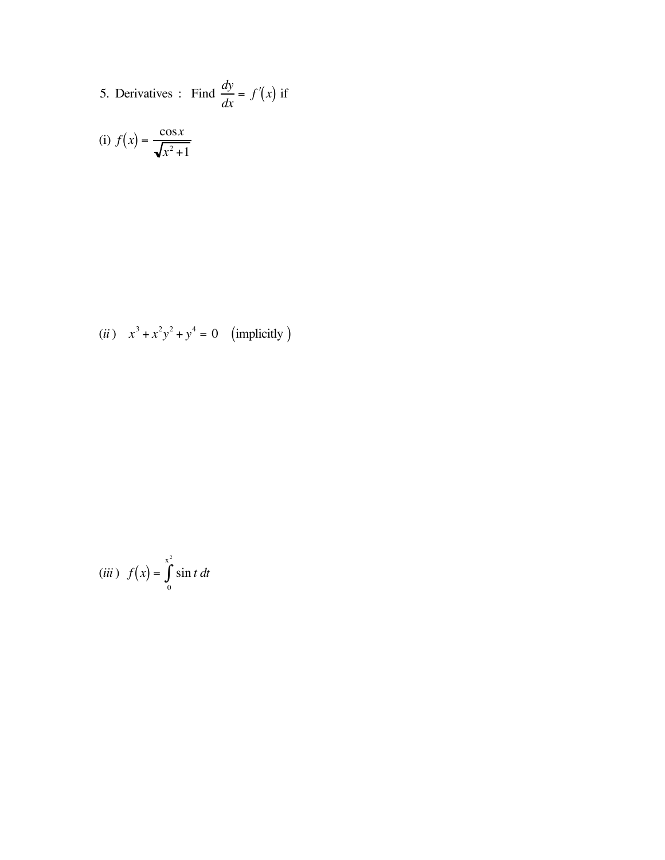5. Derivatives: Find 
$$
\frac{dy}{dx} = f'(x)
$$
 if

(i) 
$$
f(x) = \frac{\cos x}{\sqrt{x^2 + 1}}
$$

(*ii*) 
$$
x^3 + x^2y^2 + y^4 = 0
$$
 (implicitly)

$$
(iii) f(x) = \int_{0}^{x^2} \sin t \, dt
$$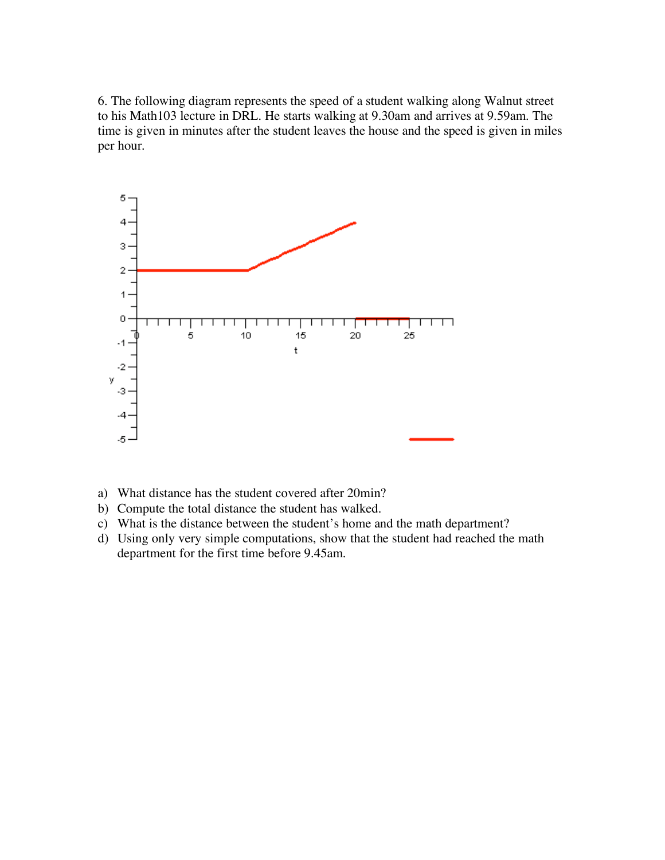6. The following diagram represents the speed of a student walking along Walnut street to his Math103 lecture in DRL. He starts walking at 9.30am and arrives at 9.59am. The time is given in minutes after the student leaves the house and the speed is given in miles per hour.



- a) What distance has the student covered after 20min?
- b) Compute the total distance the student has walked.
- c) What is the distance between the student's home and the math department?
- d) Using only very simple computations, show that the student had reached the math department for the first time before 9.45am.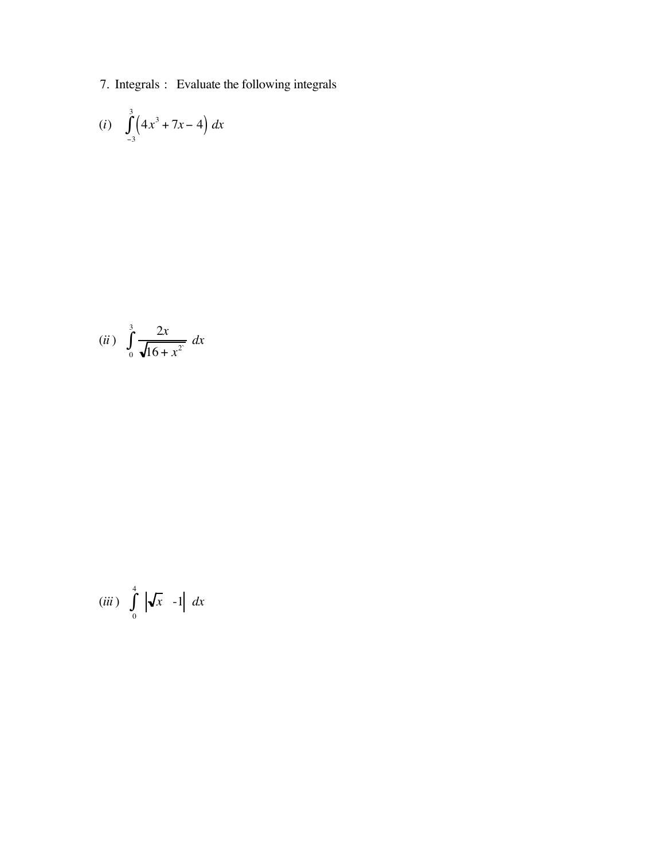7. Integrals : Evaluate the following integrals

(i) 
$$
\int_{-3}^{3} (4x^3 + 7x - 4) dx
$$

(*ii*) 
$$
\int_{0}^{3} \frac{2x}{\sqrt{16 + x^2}} dx
$$

$$
(iii) \int_{0}^{4} \left| \sqrt{x} - 1 \right| dx
$$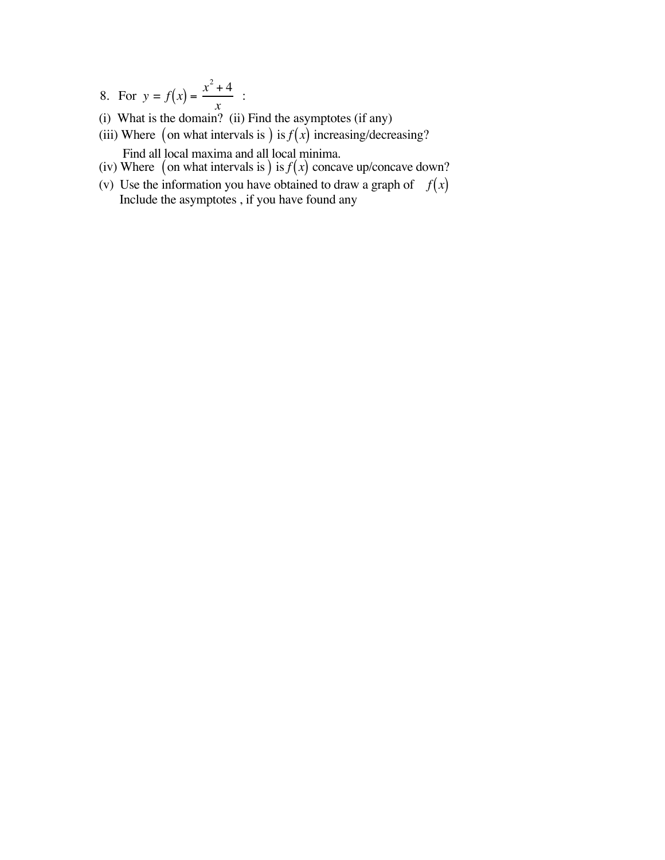- 8. For  $y = f(x) = \frac{x^2 + 4}{x}$ *x* :
- (i) What is the domain? (ii) Find the asymptotes (if any)
- (iii) Where (on what intervals is ) is  $f(x)$  increasing/decreasing? Find all local maxima and all local minima.
- (iv) Where (on what intervals is) is  $f(x)$  concave up/concave down?
- (v) Use the information you have obtained to draw a graph of  $f(x)$ Include the asymptotes , if you have found any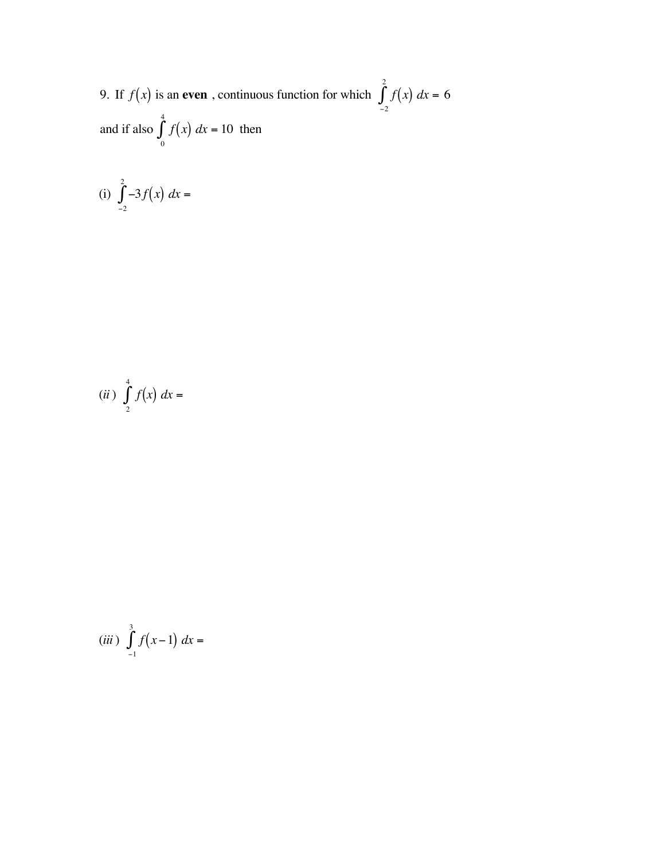9. If  $f(x)$  is an **even**, continuous function for which  $\int f(x) dx$  $^{-2}$  $\int_{0}^{2} f(x) dx = 6$ and if also  $\int f(x) dx$ 0  $\int_a^4 f(x) dx = 10$  then

(i) 
$$
\int_{-2}^{2} -3f(x) dx =
$$

(ii) 
$$
\int_{2}^{4} f(x) dx =
$$

(*iii*) 
$$
\int_{-1}^{3} f(x-1) dx =
$$